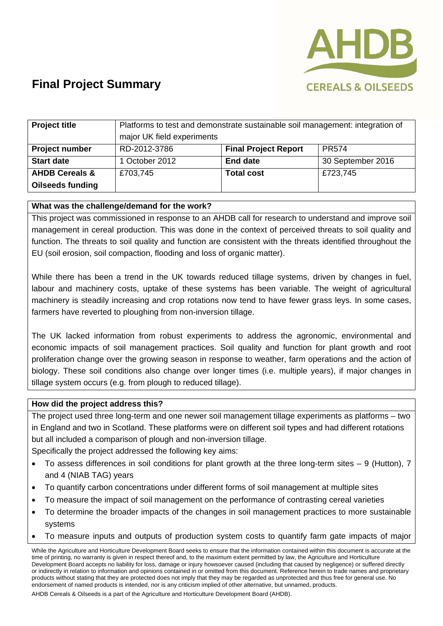

# **Final Project Summary**

| <b>Project title</b>      | Platforms to test and demonstrate sustainable soil management: integration of<br>major UK field experiments |                             |                   |
|---------------------------|-------------------------------------------------------------------------------------------------------------|-----------------------------|-------------------|
| <b>Project number</b>     | RD-2012-3786                                                                                                | <b>Final Project Report</b> | <b>PR574</b>      |
| <b>Start date</b>         | 1 October 2012                                                                                              | <b>End date</b>             | 30 September 2016 |
| <b>AHDB Cereals &amp;</b> | £703,745                                                                                                    | <b>Total cost</b>           | £723,745          |
| <b>Oilseeds funding</b>   |                                                                                                             |                             |                   |

## **What was the challenge/demand for the work?**

This project was commissioned in response to an AHDB call for research to understand and improve soil management in cereal production. This was done in the context of perceived threats to soil quality and function. The threats to soil quality and function are consistent with the threats identified throughout the EU (soil erosion, soil compaction, flooding and loss of organic matter).

While there has been a trend in the UK towards reduced tillage systems, driven by changes in fuel, labour and machinery costs, uptake of these systems has been variable. The weight of agricultural machinery is steadily increasing and crop rotations now tend to have fewer grass leys. In some cases, farmers have reverted to ploughing from non-inversion tillage.

The UK lacked information from robust experiments to address the agronomic, environmental and economic impacts of soil management practices. Soil quality and function for plant growth and root proliferation change over the growing season in response to weather, farm operations and the action of biology. These soil conditions also change over longer times (i.e. multiple years), if major changes in tillage system occurs (e.g. from plough to reduced tillage).

### **How did the project address this?**

The project used three long-term and one newer soil management tillage experiments as platforms – two in England and two in Scotland. These platforms were on different soil types and had different rotations but all included a comparison of plough and non-inversion tillage.

Specifically the project addressed the following key aims:

- To assess differences in soil conditions for plant growth at the three long-term sites 9 (Hutton), 7 and 4 (NIAB TAG) years
- To quantify carbon concentrations under different forms of soil management at multiple sites
- To measure the impact of soil management on the performance of contrasting cereal varieties
- To determine the broader impacts of the changes in soil management practices to more sustainable systems
- To measure inputs and outputs of production system costs to quantify farm gate impacts of major

AHDB Cereals & Oilseeds is a part of the Agriculture and Horticulture Development Board (AHDB).

While the Agriculture and Horticulture Development Board seeks to ensure that the information contained within this document is accurate at the time of printing, no warranty is given in respect thereof and, to the maximum extent permitted by law, the Agriculture and Horticulture Development Board accepts no liability for loss, damage or injury howsoever caused (including that caused by negligence) or suffered directly or indirectly in relation to information and opinions contained in or omitted from this document. Reference herein to trade names and proprietary products without stating that they are protected does not imply that they may be regarded as unprotected and thus free for general use. No endorsement of named products is intended, nor is any criticism implied of other alternative, but unnamed, products.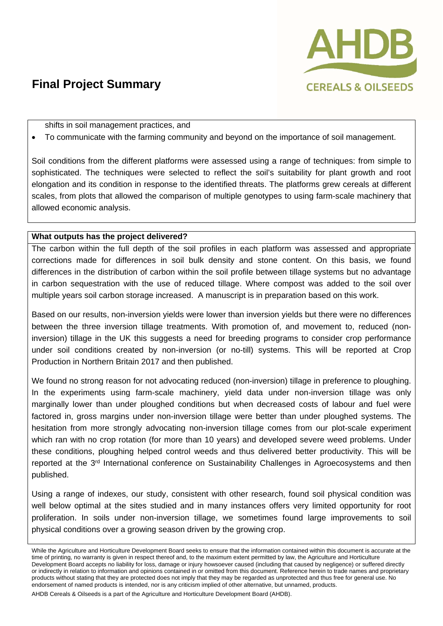

## **Final Project Summary**

shifts in soil management practices, and

To communicate with the farming community and beyond on the importance of soil management.

Soil conditions from the different platforms were assessed using a range of techniques: from simple to sophisticated. The techniques were selected to reflect the soil's suitability for plant growth and root elongation and its condition in response to the identified threats. The platforms grew cereals at different scales, from plots that allowed the comparison of multiple genotypes to using farm-scale machinery that allowed economic analysis.

## **What outputs has the project delivered?**

The carbon within the full depth of the soil profiles in each platform was assessed and appropriate corrections made for differences in soil bulk density and stone content. On this basis, we found differences in the distribution of carbon within the soil profile between tillage systems but no advantage in carbon sequestration with the use of reduced tillage. Where compost was added to the soil over multiple years soil carbon storage increased. A manuscript is in preparation based on this work.

Based on our results, non-inversion yields were lower than inversion yields but there were no differences between the three inversion tillage treatments. With promotion of, and movement to, reduced (noninversion) tillage in the UK this suggests a need for breeding programs to consider crop performance under soil conditions created by non-inversion (or no-till) systems. This will be reported at Crop Production in Northern Britain 2017 and then published.

We found no strong reason for not advocating reduced (non-inversion) tillage in preference to ploughing. In the experiments using farm-scale machinery, yield data under non-inversion tillage was only marginally lower than under ploughed conditions but when decreased costs of labour and fuel were factored in, gross margins under non-inversion tillage were better than under ploughed systems. The hesitation from more strongly advocating non-inversion tillage comes from our plot-scale experiment which ran with no crop rotation (for more than 10 years) and developed severe weed problems. Under these conditions, ploughing helped control weeds and thus delivered better productivity. This will be reported at the 3<sup>rd</sup> International conference on Sustainability Challenges in Agroecosystems and then published.

Using a range of indexes, our study, consistent with other research, found soil physical condition was well below optimal at the sites studied and in many instances offers very limited opportunity for root proliferation. In soils under non-inversion tillage, we sometimes found large improvements to soil physical conditions over a growing season driven by the growing crop.

AHDB Cereals & Oilseeds is a part of the Agriculture and Horticulture Development Board (AHDB).

While the Agriculture and Horticulture Development Board seeks to ensure that the information contained within this document is accurate at the time of printing, no warranty is given in respect thereof and, to the maximum extent permitted by law, the Agriculture and Horticulture Development Board accepts no liability for loss, damage or injury howsoever caused (including that caused by negligence) or suffered directly or indirectly in relation to information and opinions contained in or omitted from this document. Reference herein to trade names and proprietary products without stating that they are protected does not imply that they may be regarded as unprotected and thus free for general use. No endorsement of named products is intended, nor is any criticism implied of other alternative, but unnamed, products.